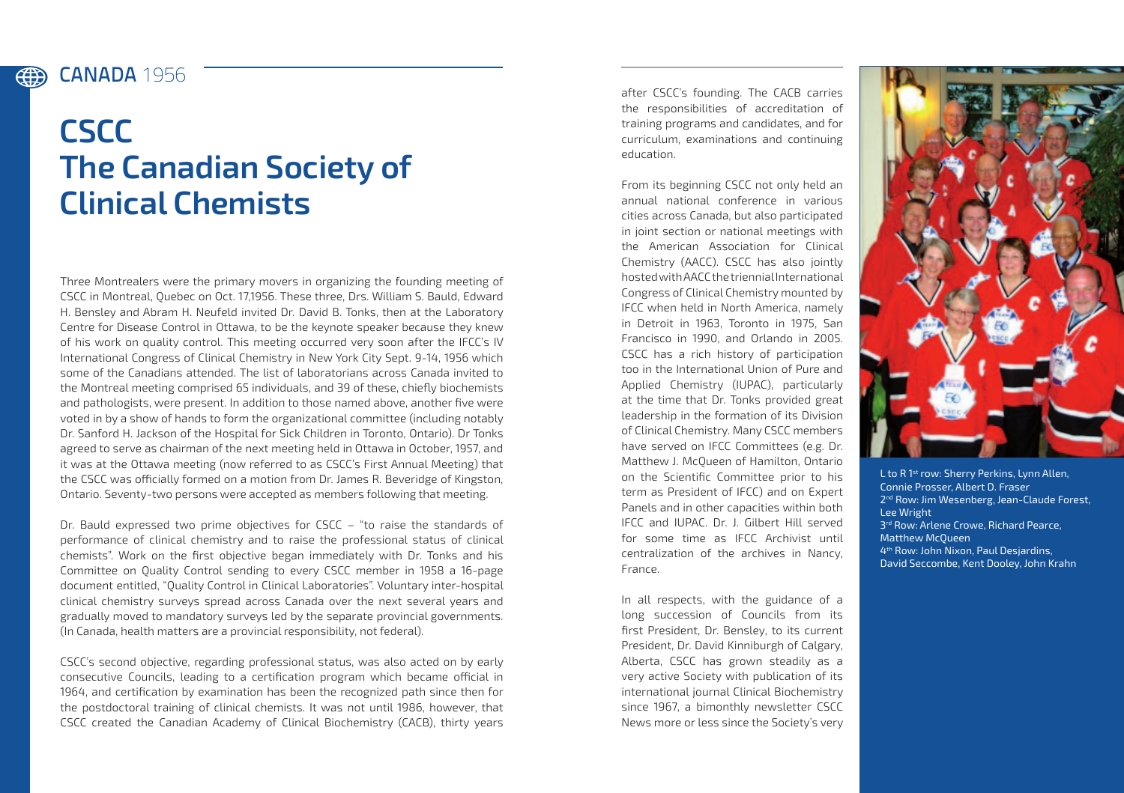## CANADA **1956** (#)

## **CSCC The Canadian Society of Clinical Chemists**

Three Montrealers were the primary movers in organizing the founding meeting of CSCC in Montreal, Quebec on Oct. 17,1956. These three, Drs. William S. Bauld, Edward H. Bensley and Abram H. Neufeld invited Dr. David B. Tonks, then at the Laboratory Centre for Disease Control in Ottawa, to be the keynote speaker because they knew of his work on quality control. This meeting occurred very soon after the IFCC's IV International Congress of Clinical Chemistry in New York City Sept. 9-14, 1956 which some of the Canadians attended. The list of laboratorians across Canada invited to the Montreal meeting comprised 65 individuals, and 39 of these, chiefly biochemists and pathologists, were present. In addition to those named above, another five were voted in by a show of hands to form the organizational committee (including notably Dr. Sanford H. Jackson of the Hospital for Sick Children in Toronto, Ontario). Dr Tonks agreed to serve as chairman of the next meeting held in Ottawa in October, 1957, and it was at the Ottawa meeting (now referred to as CSCC's First Annual Meeting) that the CSCC was officially formed on a motion from Dr. James R. Beveridge of Kingston, Ontario. Seventy-two persons were accepted as members following that meeting.

Dr. Bauld expressed two prime objectives for CSCC – "to raise the standards of performance of clinical chemistry and to raise the professional status of clinical chemists". Work on the first objective began immediately with Dr. Tonks and his Committee on Quality Control sending to every CSCC member in 1958 a 16-page document entitled, "Quality Control in Clinical Laboratories". Voluntary inter-hospital clinical chemistry surveys spread across Canada over the next several years and gradually moved to mandatory surveys led by the separate provincial governments. (In Canada, health matters are a provincial responsibility, not federal).

CSCC's second objective, regarding professional status, was also acted on by early consecutive Councils, leading to a certification program which became official in 1964, and certification by examination has been the recognized path since then for the postdoctoral training of clinical chemists. It was not until 1986, however, that CSCC created the Canadian Academy of Clinical Biochemistry (CACB), thirty years

after CSCC's founding. The CACB carries the responsibilities of accreditation of training programs and candidates, and for curriculum, examinations and continuing education.

From its beginning CSCC not only held an annual national conference in various cities across Canada, but also participated in joint section or national meetings with the American Association for Clinical Chemistry (AACC). CSCC has also jointly hosted with AACC the triennial International Congress of Clinical Chemistry mounted by IFCC when held in North America, namely in Detroit in 1963, Toronto in 1975, San Francisco in 1990, and Orlando in 2005. CSCC has a rich history of participation too in the International Union of Pure and Applied Chemistry (IUPAC), particularly at the time that Dr. Tonks provided great leadership in the formation of its Division of Clinical Chemistry. Many CSCC members have served on IFCC Committees (e.g. Dr. Matthew J. McQueen of Hamilton, Ontario on the Scientific Committee prior to his term as President of IFCC) and on Expert Panels and in other capacities within both IFCC and IUPAC. Dr. J. Gilbert Hill served for some time as IFCC Archivist until centralization of the archives in Nancy, France.

In all respects, with the guidance of a long succession of Councils from its first President, Dr. Bensley, to its current President, Dr. David Kinniburgh of Calgary, Alberta, CSCC has grown steadily as a very active Society with publication of its international journal Clinical Biochemistry since 1967, a bimonthly newsletter CSCC News more or less since the Society's very



L to R 1<sup>st</sup> row: Sherry Perkins, Lynn Allen, Connie Prosser, Albert D. Fraser 2<sup>nd</sup> Row: Jim Wesenberg, Jean-Claude Forest, Lee Wright 3<sup>rd</sup> Row: Arlene Crowe, Richard Pearce, Matthew McQueen 4th Row: John Nixon, Paul Desjardins, David Seccombe, Kent Dooley, John Krahn